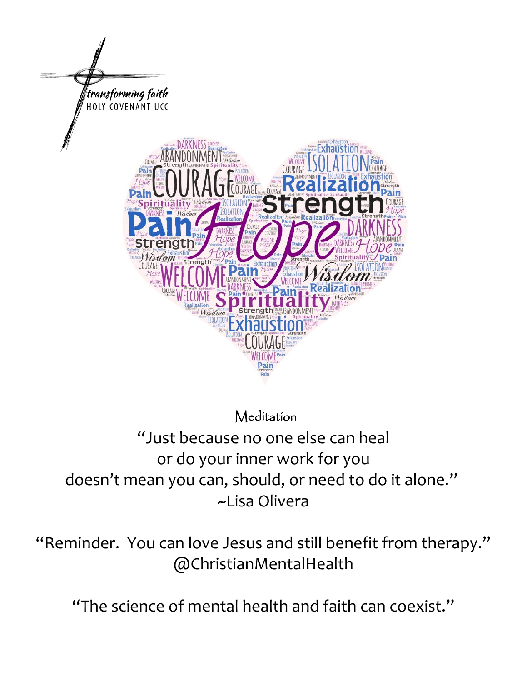

Meditation

"Just because no one else can heal or do your inner work for you doesn't mean you can, should, or need to do it alone." ~Lisa Olivera

"Reminder. You can love Jesus and still benefit from therapy." @ChristianMentalHealth

"The science of mental health and faith can coexist."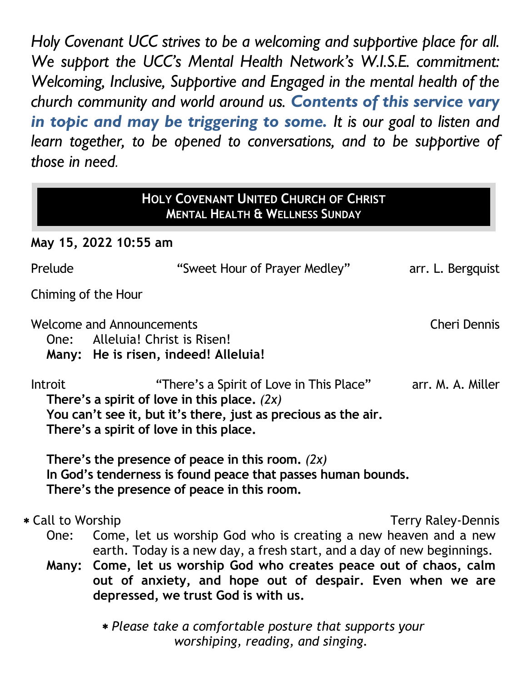*Holy Covenant UCC strives to be a welcoming and supportive place for all. We support the UCC's Mental Health Network's W.I.S.E. commitment: Welcoming, Inclusive, Supportive and Engaged in the mental health of the church community and world around us. Contents of this service vary in topic and may be triggering to some. It is our goal to listen and*  learn together, to be opened to conversations, and to be supportive of *those in need.*

|                   | <b>HOLY COVENANT UNITED CHURCH OF CHRIST</b><br><b>MENTAL HEALTH &amp; WELLNESS SUNDAY</b>                                                                                                              |                           |
|-------------------|---------------------------------------------------------------------------------------------------------------------------------------------------------------------------------------------------------|---------------------------|
|                   | May 15, 2022 10:55 am                                                                                                                                                                                   |                           |
| Prelude           | "Sweet Hour of Prayer Medley"                                                                                                                                                                           | arr. L. Bergquist         |
|                   | Chiming of the Hour                                                                                                                                                                                     |                           |
|                   | <b>Welcome and Announcements</b><br>One: Alleluia! Christ is Risen!<br>Many: He is risen, indeed! Alleluia!                                                                                             | Cheri Dennis              |
| <b>Introit</b>    | "There's a Spirit of Love in This Place"<br>There's a spirit of love in this place. $(2x)$<br>You can't see it, but it's there, just as precious as the air.<br>There's a spirit of love in this place. | arr. M. A. Miller         |
|                   | There's the presence of peace in this room. $(2x)$<br>In God's tenderness is found peace that passes human bounds.<br>There's the presence of peace in this room.                                       |                           |
| * Call to Worship |                                                                                                                                                                                                         | <b>Terry Raley-Dennis</b> |
| One:              | Come, let us worship God who is creating a new heaven and a new<br>earth. Today is a new day, a fresh start, and a day of new beginnings.                                                               |                           |
| Many:             | Come, let us worship God who creates peace out of chaos, calm<br>out of anxiety, and hope out of despair. Even when we are<br>depressed, we trust God is with us.                                       |                           |
|                   | * Please take a comfortable posture that supports your                                                                                                                                                  |                           |

*worshiping, reading, and singing.*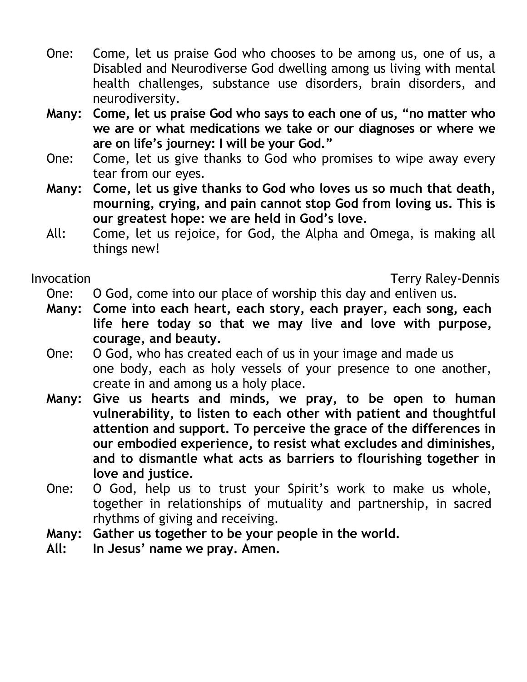- One: Come, let us praise God who chooses to be among us, one of us, a Disabled and Neurodiverse God dwelling among us living with mental health challenges, substance use disorders, brain disorders, and neurodiversity.
- **Many: Come, let us praise God who says to each one of us, "no matter who we are or what medications we take or our diagnoses or where we are on life's journey: I will be your God."**
- One: Come, let us give thanks to God who promises to wipe away every tear from our eyes.
- **Many: Come, let us give thanks to God who loves us so much that death, mourning, crying, and pain cannot stop God from loving us. This is our greatest hope: we are held in God's love.**
- All: Come, let us rejoice, for God, the Alpha and Omega, is making all things new!

Invocation **Invocation Terry Raley-Dennis** 

- One: O God, come into our place of worship this day and enliven us.
- **Many: Come into each heart, each story, each prayer, each song, each life here today so that we may live and love with purpose, courage, and beauty.**
- One: O God, who has created each of us in your image and made us one body, each as holy vessels of your presence to one another, create in and among us a holy place.
- **Many: Give us hearts and minds, we pray, to be open to human vulnerability, to listen to each other with patient and thoughtful attention and support. To perceive the grace of the differences in our embodied experience, to resist what excludes and diminishes, and to dismantle what acts as barriers to flourishing together in love and justice.**
- One: O God, help us to trust your Spirit's work to make us whole, together in relationships of mutuality and partnership, in sacred rhythms of giving and receiving.
- **Many: Gather us together to be your people in the world.**
- **All: In Jesus' name we pray. Amen.**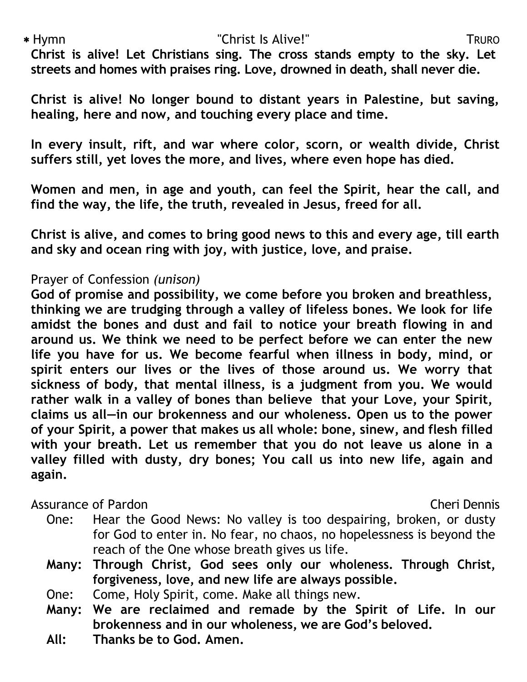### Hymn "Christ Is Alive!" TRURO

**Christ is alive! Let Christians sing. The cross stands empty to the sky. Let streets and homes with praises ring. Love, drowned in death, shall never die.**

**Christ is alive! No longer bound to distant years in Palestine, but saving, healing, here and now, and touching every place and time.**

**In every insult, rift, and war where color, scorn, or wealth divide, Christ suffers still, yet loves the more, and lives, where even hope has died.**

**Women and men, in age and youth, can feel the Spirit, hear the call, and find the way, the life, the truth, revealed in Jesus, freed for all.**

**Christ is alive, and comes to bring good news to this and every age, till earth and sky and ocean ring with joy, with justice, love, and praise.**

## Prayer of Confession *(unison)*

**God of promise and possibility, we come before you broken and breathless, thinking we are trudging through a valley of lifeless bones. We look for life amidst the bones and dust and fail to notice your breath flowing in and around us. We think we need to be perfect before we can enter the new life you have for us. We become fearful when illness in body, mind, or spirit enters our lives or the lives of those around us. We worry that sickness of body, that mental illness, is a judgment from you. We would rather walk in a valley of bones than believe that your Love, your Spirit, claims us all—in our brokenness and our wholeness. Open us to the power of your Spirit, a power that makes us all whole: bone, sinew, and flesh filled with your breath. Let us remember that you do not leave us alone in a valley filled with dusty, dry bones; You call us into new life, again and again.**

### Assurance of Pardon **Cheri Dennis**

- One: Hear the Good News: No valley is too despairing, broken, or dusty for God to enter in. No fear, no chaos, no hopelessness is beyond the reach of the One whose breath gives us life.
- **Many: Through Christ, God sees only our wholeness. Through Christ, forgiveness, love, and new life are always possible.**
- One: Come, Holy Spirit, come. Make all things new.
- **Many: We are reclaimed and remade by the Spirit of Life. In our brokenness and in our wholeness, we are God's beloved.**
- **All: Thanks be to God. Amen.**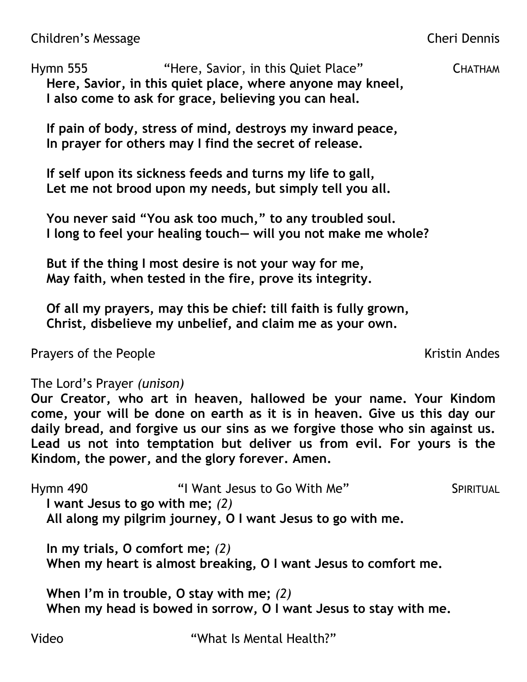Children's Message Children's Message Children's Message Cheri Dennis

Hymn 555 **The Heath Clubstan** "Here, Savior, in this Quiet Place" CHATHAM **Here, Savior, in this quiet place, where anyone may kneel, I also come to ask for grace, believing you can heal.**

**If pain of body, stress of mind, destroys my inward peace, In prayer for others may I find the secret of release.**

**If self upon its sickness feeds and turns my life to gall, Let me not brood upon my needs, but simply tell you all.**

**You never said "You ask too much," to any troubled soul. I long to feel your healing touch— will you not make me whole?**

**But if the thing I most desire is not your way for me, May faith, when tested in the fire, prove its integrity.**

**Of all my prayers, may this be chief: till faith is fully grown, Christ, disbelieve my unbelief, and claim me as your own.**

**Prayers of the People Service Service Service Service Service Service Service Service Service Service Service Service Service Service Service Service Service Service Service Service Service Service Service Service Service** 

The Lord's Prayer *(unison)*

**Our Creator, who art in heaven, hallowed be your name. Your Kindom come, your will be done on earth as it is in heaven. Give us this day our daily bread, and forgive us our sins as we forgive those who sin against us. Lead us not into temptation but deliver us from evil. For yours is the Kindom, the power, and the glory forever. Amen.**

Hymn 490 **The Contract Contract Contract Contract Contract Contract Contract Contract Contract Contract Contract Contract Contract Contract Contract Contract Contract Contract Contract Contract Contract Contract Contract C I want Jesus to go with me;** *(2)* **All along my pilgrim journey, O I want Jesus to go with me.**

**In my trials, O comfort me;** *(2)* **When my heart is almost breaking, O I want Jesus to comfort me.**

**When I'm in trouble, O stay with me;** *(2)* **When my head is bowed in sorrow, O I want Jesus to stay with me.**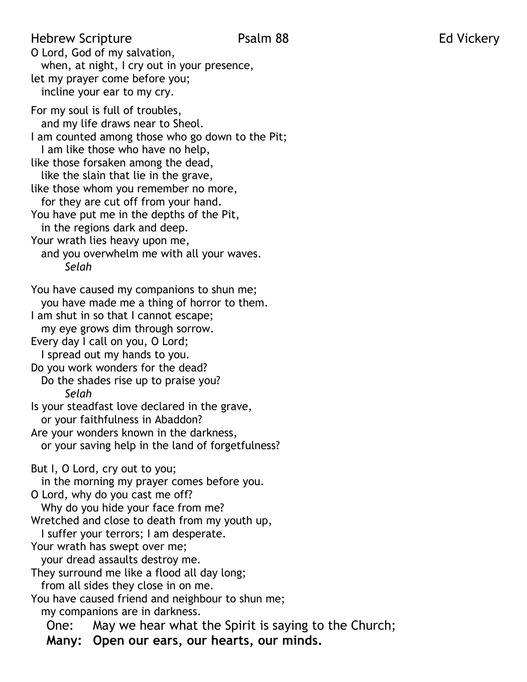Hebrew Scripture **Psalm 88** Ed Vickery

O Lord, God of my salvation, when, at night, I cry out in your presence, let my prayer come before you; incline your ear to my cry. For my soul is full of troubles, and my life draws near to Sheol. I am counted among those who go down to the Pit; I am like those who have no help, like those forsaken among the dead, like the slain that lie in the grave, like those whom you remember no more, for they are cut off from your hand. You have put me in the depths of the Pit, in the regions dark and deep. Your wrath lies heavy upon me, and you overwhelm me with all your waves. *Selah* You have caused my companions to shun me; you have made me a thing of horror to them. I am shut in so that I cannot escape; my eye grows dim through sorrow. Every day I call on you, O Lord; I spread out my hands to you. Do you work wonders for the dead? Do the shades rise up to praise you? *Selah* Is your steadfast love declared in the grave, or your faithfulness in Abaddon? Are your wonders known in the darkness, or your saving help in the land of forgetfulness? But I, O Lord, cry out to you; in the morning my prayer comes before you. O Lord, why do you cast me off? Why do you hide your face from me? Wretched and close to death from my youth up, I suffer your terrors; I am desperate. Your wrath has swept over me; your dread assaults destroy me. They surround me like a flood all day long; from all sides they close in on me. You have caused friend and neighbour to shun me;

my companions are in darkness.

One: May we hear what the Spirit is saying to the Church;

**Many: Open our ears, our hearts, our minds.**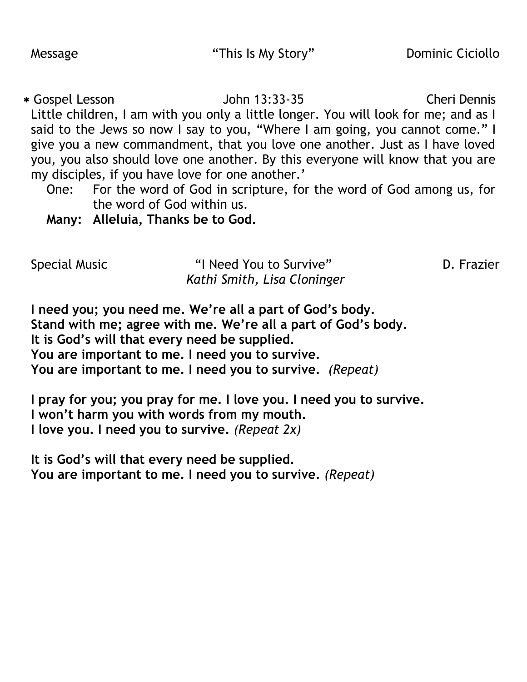Gospel Lesson John 13:33-35 Cheri Dennis

Little children, I am with you only a little longer. You will look for me; and as I said to the Jews so now I say to you, "Where I am going, you cannot come." I give you a new commandment, that you love one another. Just as I have loved you, you also should love one another. By this everyone will know that you are my disciples, if you have love for one another.'

- One: For the word of God in scripture, for the word of God among us, for the word of God within us.
- **Many: Alleluia, Thanks be to God.**

| <b>Special Music</b> | "I Need You to Survive"     | D. Frazier |
|----------------------|-----------------------------|------------|
|                      | Kathi Smith, Lisa Cloninger |            |

**I need you; you need me. We're all a part of God's body. Stand with me; agree with me. We're all a part of God's body. It is God's will that every need be supplied. You are important to me. I need you to survive. You are important to me. I need you to survive.** *(Repeat)*

**I pray for you; you pray for me. I love you. I need you to survive. I won't harm you with words from my mouth. I love you. I need you to survive.** *(Repeat 2x)*

**It is God's will that every need be supplied. You are important to me. I need you to survive.** *(Repeat)*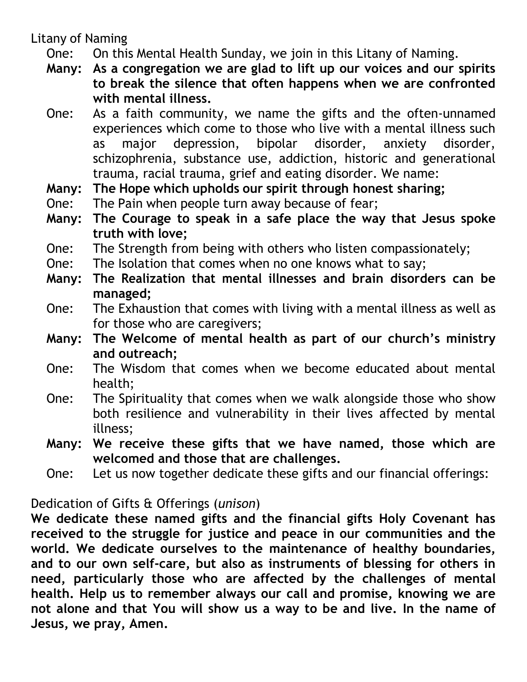Litany of Naming

- One: On this Mental Health Sunday, we join in this Litany of Naming.
- **Many: As a congregation we are glad to lift up our voices and our spirits to break the silence that often happens when we are confronted with mental illness.**
- One: As a faith community, we name the gifts and the often-unnamed experiences which come to those who live with a mental illness such as major depression, bipolar disorder, anxiety disorder, schizophrenia, substance use, addiction, historic and generational trauma, racial trauma, grief and eating disorder. We name:
- **Many: The Hope which upholds our spirit through honest sharing;**
- One: The Pain when people turn away because of fear;
- **Many: The Courage to speak in a safe place the way that Jesus spoke truth with love;**
- One: The Strength from being with others who listen compassionately;
- One: The Isolation that comes when no one knows what to say;
- **Many: The Realization that mental illnesses and brain disorders can be managed;**
- One: The Exhaustion that comes with living with a mental illness as well as for those who are caregivers;
- **Many: The Welcome of mental health as part of our church's ministry and outreach;**
- One: The Wisdom that comes when we become educated about mental health;
- One: The Spirituality that comes when we walk alongside those who show both resilience and vulnerability in their lives affected by mental illness;
- **Many: We receive these gifts that we have named, those which are welcomed and those that are challenges.**
- One: Let us now together dedicate these gifts and our financial offerings:

Dedication of Gifts & Offerings (*unison*)

**We dedicate these named gifts and the financial gifts Holy Covenant has received to the struggle for justice and peace in our communities and the world. We dedicate ourselves to the maintenance of healthy boundaries, and to our own self-care, but also as instruments of blessing for others in need, particularly those who are affected by the challenges of mental health. Help us to remember always our call and promise, knowing we are not alone and that You will show us a way to be and live. In the name of Jesus, we pray, Amen.**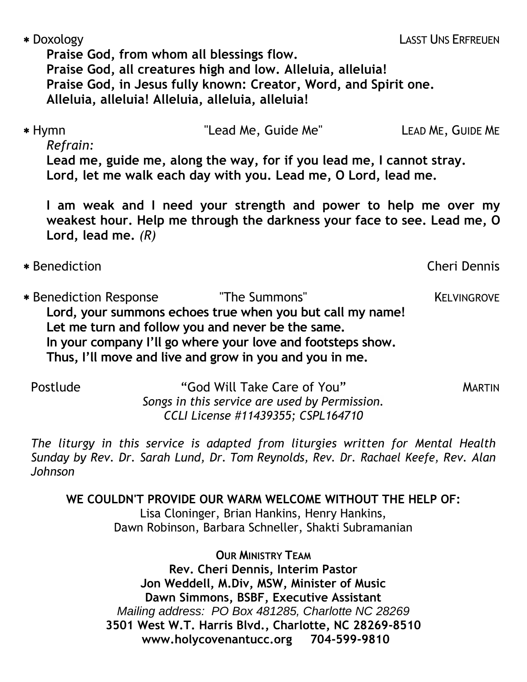**Praise God, from whom all blessings flow. Praise God, all creatures high and low. Alleluia, alleluia! Praise God, in Jesus fully known: Creator, Word, and Spirit one. Alleluia, alleluia! Alleluia, alleluia, alleluia!**

Hymn "Lead Me, Guide Me" LEAD ME, GUIDE ME

*Refrain:*

**Lead me, guide me, along the way, for if you lead me, I cannot stray. Lord, let me walk each day with you. Lead me, O Lord, lead me.**

**I am weak and I need your strength and power to help me over my weakest hour. Help me through the darkness your face to see. Lead me, O Lord, lead me.** *(R)*

Benediction Cheri Dennis

\* Benediction Response "The Summons" MELVINGROVE **Lord, your summons echoes true when you but call my name! Let me turn and follow you and never be the same. In your company I'll go where your love and footsteps show. Thus, I'll move and live and grow in you and you in me.**

Postlude "God Will Take Care of You" MARTIN *Songs in this service are used by Permission. CCLI License #11439355; CSPL164710*

*The liturgy in this service is adapted from liturgies written for Mental Health Sunday by Rev. Dr. Sarah Lund, Dr. Tom Reynolds, Rev. Dr. Rachael Keefe, Rev. Alan Johnson*

**WE COULDN'T PROVIDE OUR WARM WELCOME WITHOUT THE HELP OF:** Lisa Cloninger, Brian Hankins, Henry Hankins, Dawn Robinson, Barbara Schneller, Shakti Subramanian

**OUR MINISTRY TEAM Rev. Cheri Dennis, Interim Pastor Jon Weddell, M.Div, MSW, Minister of Music Dawn Simmons, BSBF, Executive Assistant** *Mailing address: PO Box 481285, Charlotte NC 28269* **3501 West W.T. Harris Blvd., Charlotte, NC 28269-8510 www.holycovenantucc.org 704-599-9810**

Doxology LASST UNS ERFREUEN